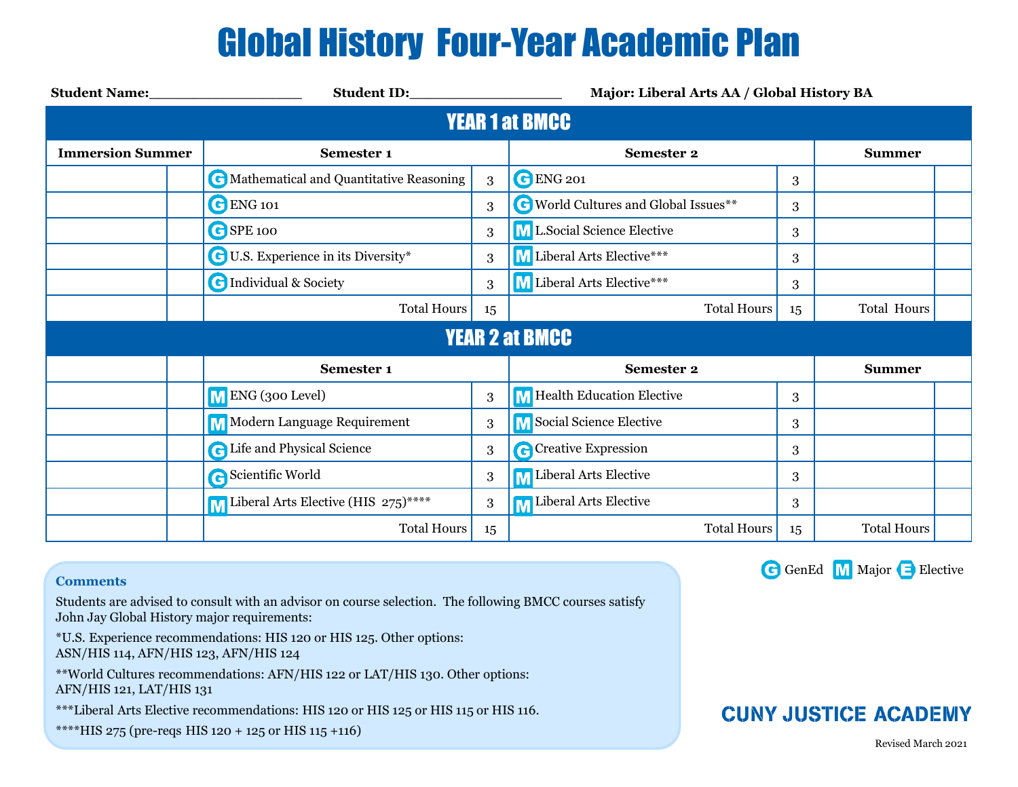# Global History Four-Year Academic Plan

| <b>Student Name:</b>    |                                                  |    | Major: Liberal Arts AA / Global History BA |    |                    |  |  |  |  |  |  |
|-------------------------|--------------------------------------------------|----|--------------------------------------------|----|--------------------|--|--|--|--|--|--|
| <b>YEAR 1 at BMCC</b>   |                                                  |    |                                            |    |                    |  |  |  |  |  |  |
| <b>Immersion Summer</b> | Semester 1                                       |    | <b>Semester 2</b>                          |    | <b>Summer</b>      |  |  |  |  |  |  |
|                         | <b>C</b> Mathematical and Quantitative Reasoning | 3  | <b>C</b> ENG 201                           | 3  |                    |  |  |  |  |  |  |
|                         | C ENG 101                                        | 3  | World Cultures and Global Issues**         | 3  |                    |  |  |  |  |  |  |
|                         | GSPE 100                                         | 3  | M L.Social Science Elective                | 3  |                    |  |  |  |  |  |  |
|                         | <b>C</b> U.S. Experience in its Diversity*       | 3  | M Liberal Arts Elective***                 | 3  |                    |  |  |  |  |  |  |
|                         | <b>C</b> Individual & Society                    | 3  | M Liberal Arts Elective***                 | 3  |                    |  |  |  |  |  |  |
|                         | <b>Total Hours</b>                               |    | <b>Total Hours</b>                         | 15 | <b>Total Hours</b> |  |  |  |  |  |  |
| <b>YEAR 2 at BMCC</b>   |                                                  |    |                                            |    |                    |  |  |  |  |  |  |
|                         | Semester 1                                       |    | <b>Semester 2</b>                          |    | <b>Summer</b>      |  |  |  |  |  |  |
|                         | M ENG (300 Level)                                | 3  | M Health Education Elective                | 3  |                    |  |  |  |  |  |  |
|                         | <b>M</b> Modern Language Requirement             | 3  | M Social Science Elective                  | 3  |                    |  |  |  |  |  |  |
|                         | <b>C</b> Life and Physical Science               | 3  | <b>C</b> Creative Expression               | 3  |                    |  |  |  |  |  |  |
|                         | Scientific World                                 | 3  | M Liberal Arts Elective                    | 3  |                    |  |  |  |  |  |  |
|                         | M Liberal Arts Elective (HIS 275)****            | 3  | <b>M</b> Liberal Arts Elective             | 3  |                    |  |  |  |  |  |  |
|                         | <b>Total Hours</b>                               | 15 | <b>Total Hours</b>                         | 15 | <b>Total Hours</b> |  |  |  |  |  |  |

#### **Comments**

Students are advised to consult with an advisor on course selection. The following BMCC courses satisfy John Jay Global History major requirements:

\*U.S. Experience recommendations: HIS 120 or HIS 125. Other options: ASN/HIS 114, AFN/HIS 123, AFN/HIS 124

\*\*World Cultures recommendations: AFN/HIS 122 or LAT/HIS 130. Other options: AFN/HIS 121, LAT/HIS 131

\*\*\*Liberal Arts Elective recommendations: HIS 120 or HIS 125 or HIS 115 or HIS 116.

\*\*\*\*HIS 275 (pre-reqs HIS 120 + 125 or HIS 115 +116)



### **CUNY JUSTICE ACADEMY**